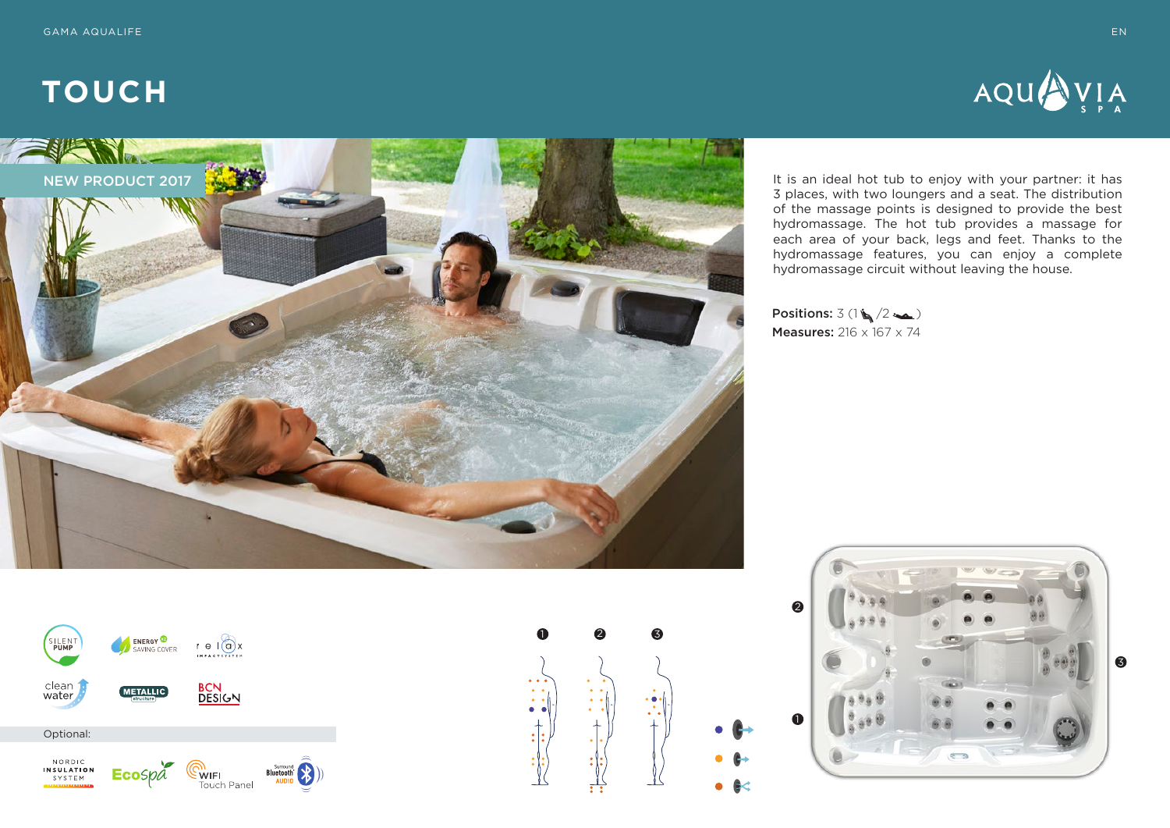



It is an ideal hot tub to enjoy with your partner: it has 3 places, with two loungers and a seat. The distribution of the massage points is designed to provide the best hydromassage. The hot tub provides a massage for each area of your back, legs and feet. Thanks to the hydromassage features, you can enjoy a complete hydromassage circuit without leaving the house.

Positions:  $3(1)(/2)$ Measures: 216 x 167 x 74





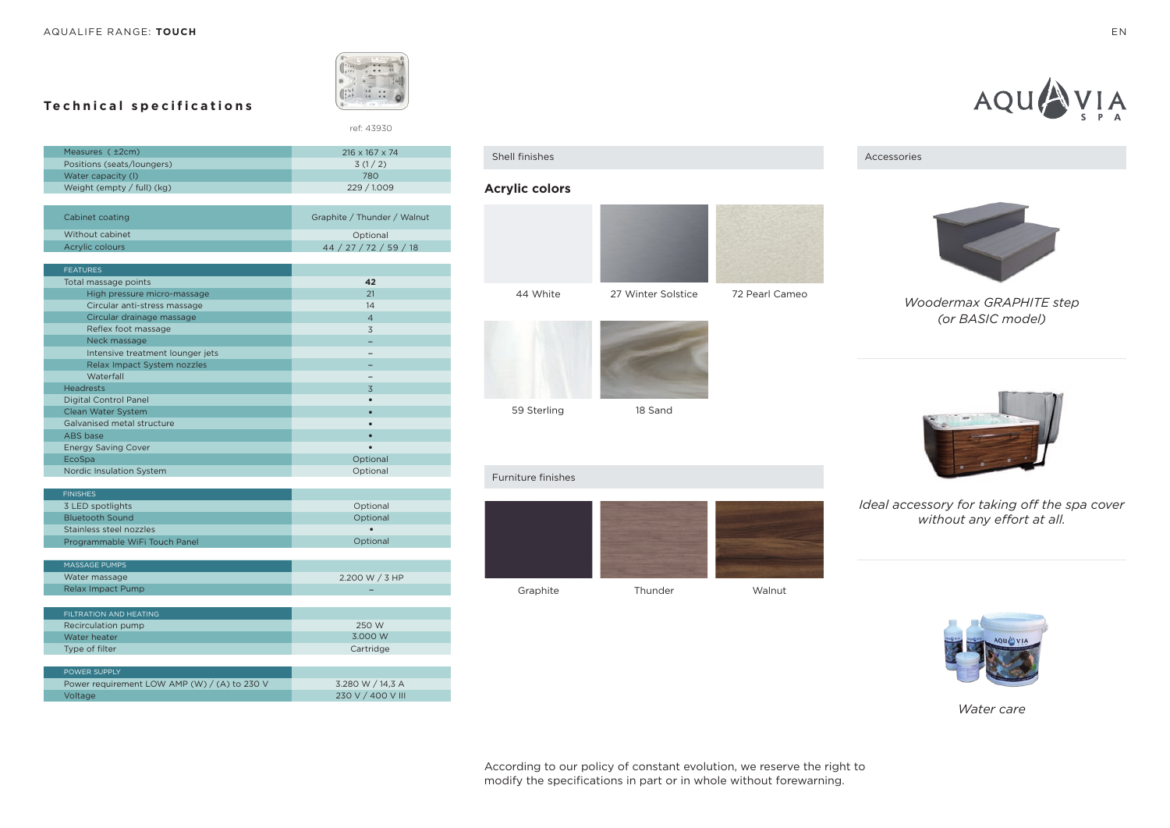

ref: 43930

# **Technical specifications**

| Measures ( ±2cm)             | $216 \times 167 \times 74$ |
|------------------------------|----------------------------|
| Positions (seats/loungers)   | 3(1/2)                     |
| Water capacity (I)           | 780                        |
| Weight (empty $/$ full) (kg) | 229 / 1.009                |
|                              |                            |

| Cabinet coating | Graphite / Thunder / Walnut |
|-----------------|-----------------------------|
| Without cabinet | Optional                    |
| Acrylic colours | 44 / 27 / 72 / 59 / 18      |

| <b>FEATURES</b>                  |                |
|----------------------------------|----------------|
| Total massage points             | 42             |
| High pressure micro-massage      | 21             |
| Circular anti-stress massage     | 14             |
| Circular drainage massage        | $\overline{4}$ |
| Reflex foot massage              | 3              |
| Neck massage                     |                |
| Intensive treatment lounger jets |                |
| Relax Impact System nozzles      |                |
| Waterfall                        |                |
| <b>Headrests</b>                 | 3              |
| <b>Digital Control Panel</b>     |                |
| Clean Water System               | ٠              |
| Galvanised metal structure       |                |
| ABS base                         | ٠              |
| <b>Energy Saving Cover</b>       | ٠              |
| EcoSpa                           | Optional       |
| Nordic Insulation System         | Optional       |

| <b>FINISHES</b>                           |                             |
|-------------------------------------------|-----------------------------|
| 3 LED spotlights                          | Optional                    |
| <b>Bluetooth Sound</b>                    | Optional                    |
| Stainless steel nozzles                   | $\bullet$                   |
| Programmable WiFi Touch Panel             | Optional                    |
|                                           |                             |
| <b>MASSAGE PUMPS</b>                      |                             |
| Water massage                             | 2.200 W / 3 HP              |
| <b>Relax Impact Pump</b>                  | -                           |
|                                           |                             |
| <b>FILTRATION AND HEATING</b>             |                             |
| Recirculation pump                        | 250 W                       |
| Water heater                              | 3.000 W                     |
| $\sim$ $\sim$ $\sim$ $\sim$ $\sim$ $\sim$ | $\sim$ $\sim$ $\sim$ $\sim$ |

| Type of filter                               | Cartridge         |
|----------------------------------------------|-------------------|
|                                              |                   |
| POWER SUPPLY                                 |                   |
| Power requirement LOW AMP (W) / (A) to 230 V | 3.280 W / 14.3 A  |
| Voltage                                      | 230 V / 400 V III |



## **Acrylic colors**





59 Sterling

### 18 Sand

#### Furniture finishes







AQU

*Woodermax GRAPHITE step (or BASIC model)*



## *Ideal accessory for taking off the spa cover without any effort at all.*

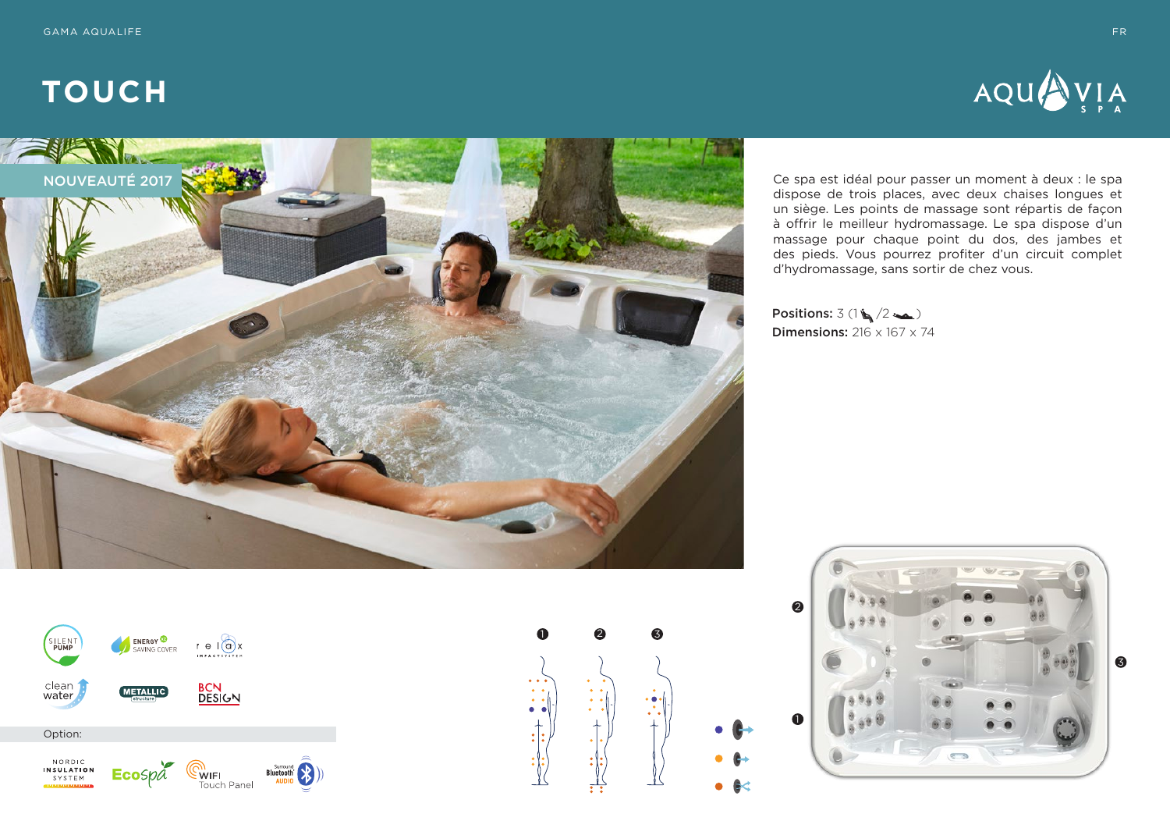



Ce spa est idéal pour passer un moment à deux : le spa dispose de trois places, avec deux chaises longues et un siège. Les points de massage sont répartis de façon à offrir le meilleur hydromassage. Le spa dispose d'un massage pour chaque point du dos, des jambes et des pieds. Vous pourrez profiter d'un circuit complet d'hydromassage, sans sortir de chez vous.

Positions:  $3(1)(2)$ **Dimensions:**  $216 \times 167 \times 74$ 





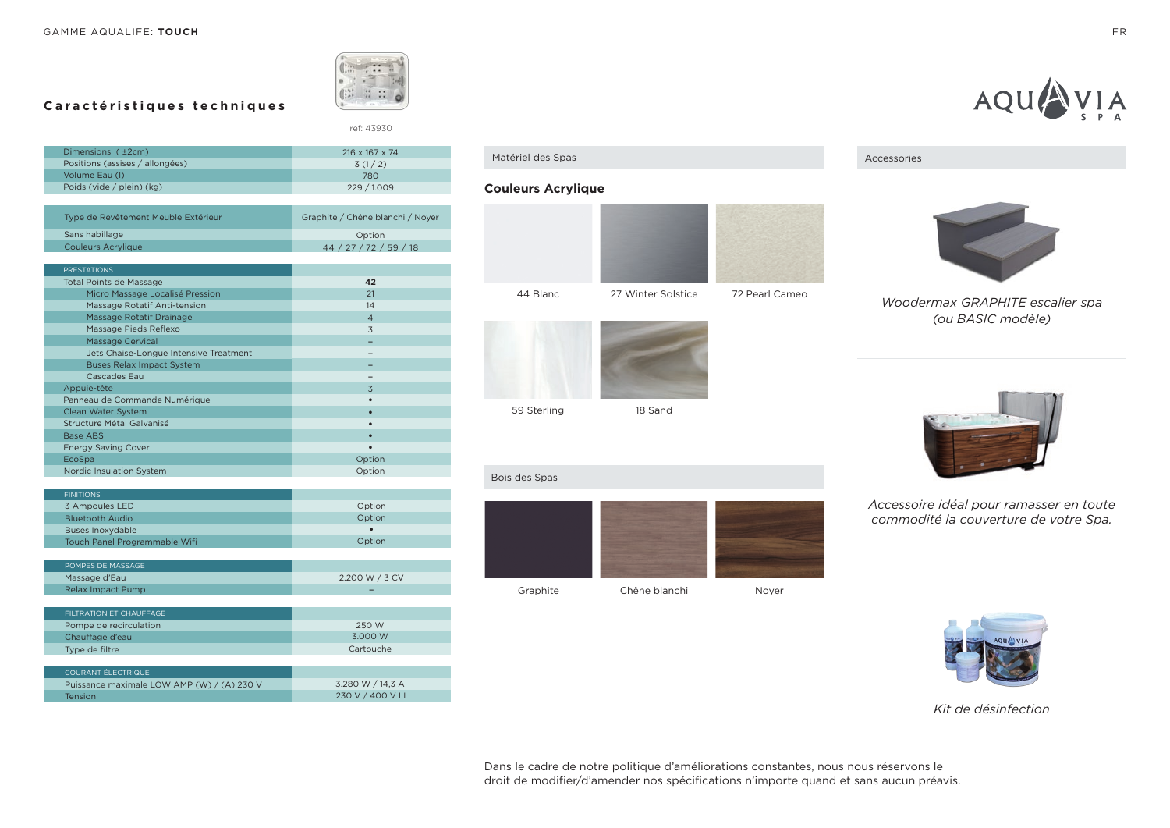

ref: 43930

2.200 W / 3 CV

# **Caractéristiques techniques**

| Dimensions ( ±2cm)                     | 216 x 167 x 74                   |
|----------------------------------------|----------------------------------|
| Positions (assises / allongées)        | 3(1/2)                           |
| Volume Eau (I)                         | 780                              |
| Poids (vide / plein) (kg)              | 229 / 1.009                      |
|                                        |                                  |
| Type de Revêtement Meuble Extérieur    | Graphite / Chêne blanchi / Noyer |
| Sans habillage                         | Option                           |
| <b>Couleurs Acrylique</b>              | 44 / 27 / 72 / 59 / 18           |
|                                        |                                  |
| <b>PRESTATIONS</b>                     |                                  |
| <b>Total Points de Massage</b>         | 42                               |
| Micro Massage Localisé Pression        | 21                               |
| Massage Rotatif Anti-tension           | 14                               |
| Massage Rotatif Drainage               | $\overline{4}$                   |
| Massage Pieds Reflexo                  | 3                                |
| <b>Massage Cervical</b>                |                                  |
| Jets Chaise-Longue Intensive Treatment |                                  |
| <b>Buses Relax Impact System</b>       |                                  |
| Cascades Eau                           |                                  |
| Appuie-tête                            | 3                                |
| Panneau de Commande Numérique          |                                  |
| Clean Water System                     | $\bullet$                        |
| Structure Métal Galvanisé              |                                  |
| Base ABS                               |                                  |
| <b>Energy Saving Cover</b>             |                                  |
| EcoSpa                                 | Option                           |
| <b>Nordic Insulation System</b>        | Option                           |

| <b>FINITIONS</b>              |           |
|-------------------------------|-----------|
| 3 Ampoules LED                | Option    |
| <b>Bluetooth Audio</b>        | Option    |
| <b>Buses Inoxydable</b>       | $\bullet$ |
| Touch Panel Programmable Wifi | Option    |
|                               |           |
| POMPES DE MASSAGE             |           |

| Massage d'Eau                              | 2.200 W / 3 CV    |
|--------------------------------------------|-------------------|
| Relax Impact Pump                          |                   |
|                                            |                   |
| FILTRATION ET CHAUFFAGE                    |                   |
| Pompe de recirculation                     | 250 W             |
| Chauffage d'eau                            | 3.000 W           |
| Type de filtre                             | Cartouche         |
|                                            |                   |
| <b>COURANT ÉLECTRIQUE</b>                  |                   |
| Puissance maximale LOW AMP (W) / (A) 230 V | 3.280 W / 14,3 A  |
| <b>Tension</b>                             | 230 V / 400 V III |
|                                            |                   |

Matériel des Spas

### **Couleurs Acrylique**



59 Sterling

18 Sand



*Accessoire idéal pour ramasser en toute commodité la couverture de votre Spa.*



#### *Kit de désinfection*

Dans le cadre de notre politique d'améliorations constantes, nous nous réservons le droit de modifier/d'amender nos spécifications n'importe quand et sans aucun préavis.





Accessories

*Woodermax GRAPHITE escalier spa (ou BASIC modèle)*

Bois des Spas

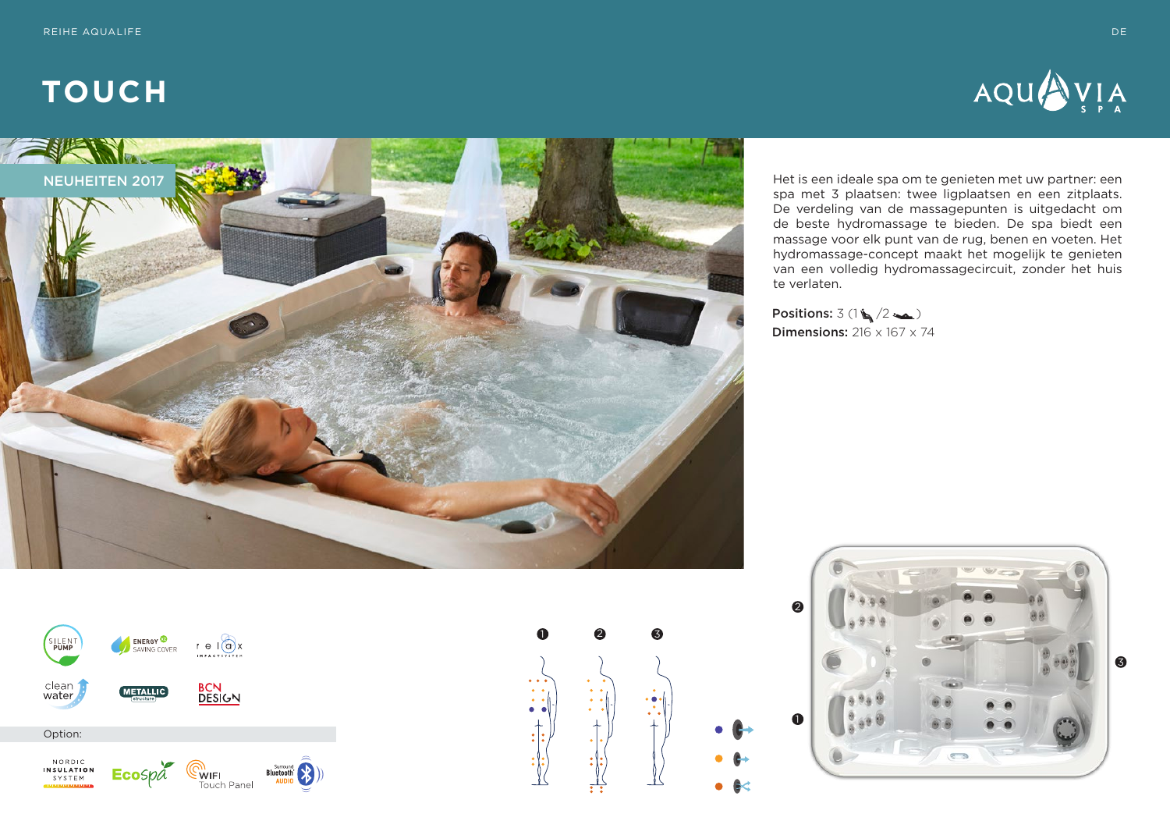



Het is een ideale spa om te genieten met uw partner: een spa met 3 plaatsen: twee ligplaatsen en een zitplaats. De verdeling van de massagepunten is uitgedacht om de beste hydromassage te bieden. De spa biedt een massage voor elk punt van de rug, benen en voeten. Het hydromassage-concept maakt het mogelijk te genieten van een volledig hydromassagecircuit, zonder het huis te verlaten.

Positions:  $3(1)(2)$ **Dimensions:**  $216 \times 167 \times 74$ 





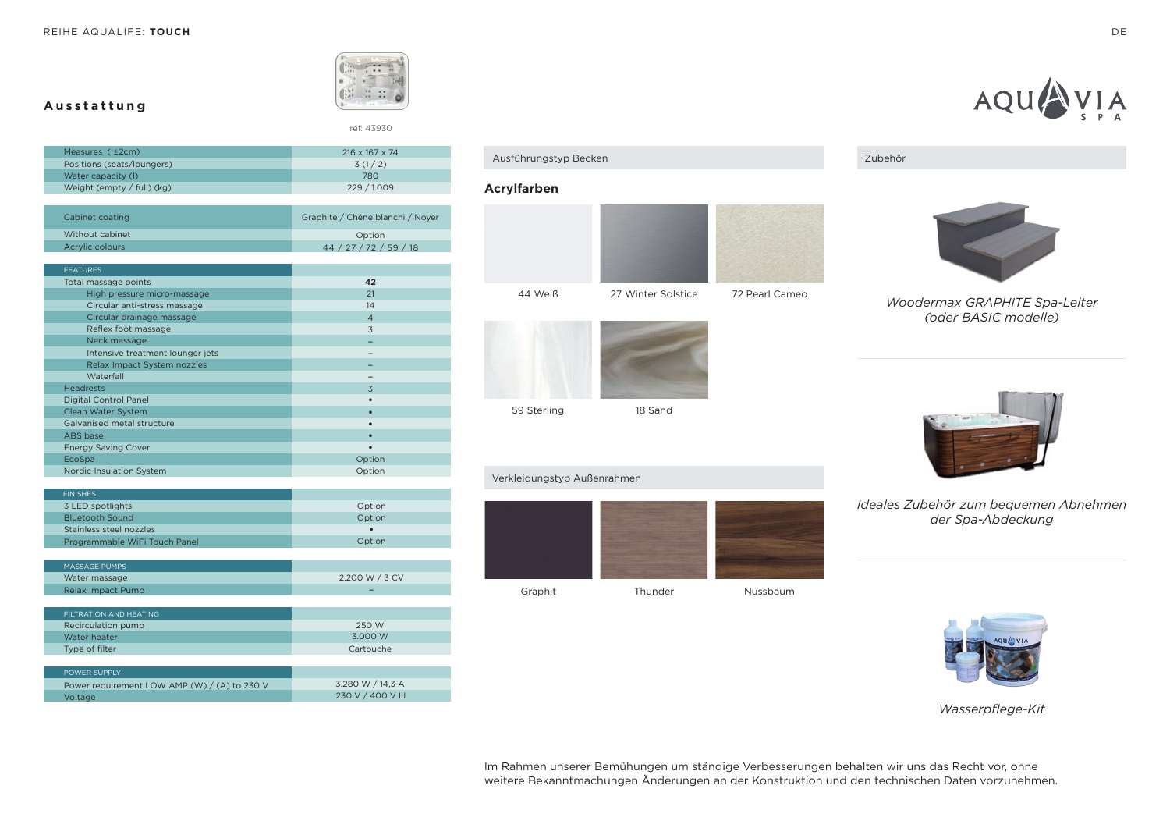**Ausstattung**



ref: 43930

| Measures $(+2cm)$            | $216 \times 167 \times 74$ |
|------------------------------|----------------------------|
| Positions (seats/loungers)   | 3(1/2)                     |
| Water capacity (I)           | 780                        |
| Weight (empty $/$ full) (kg) | 229/1009                   |
|                              |                            |

| Cabinet coating | Graphite / Chêne blanchi / Noyer |
|-----------------|----------------------------------|
| Without cabinet | Option                           |
| Acrylic colours | 44 / 27 / 72 / 59 / 18           |

| <b>FEATURES</b>                  |                |
|----------------------------------|----------------|
| Total massage points             | 42             |
| High pressure micro-massage      | 21             |
| Circular anti-stress massage     | 14             |
| Circular drainage massage        | $\overline{4}$ |
| Reflex foot massage              | 3              |
| Neck massage                     |                |
| Intensive treatment lounger jets |                |
| Relax Impact System nozzles      |                |
| Waterfall                        |                |
| <b>Headrests</b>                 | 3              |
| <b>Digital Control Panel</b>     |                |
| Clean Water System               |                |
| Galvanised metal structure       |                |
| ABS base                         | ◘              |
| <b>Energy Saving Cover</b>       |                |
| EcoSpa                           | Option         |
| Nordic Insulation System         | Option         |

| <b>FINISHES</b>               |                |
|-------------------------------|----------------|
| 3 LED spotlights              | Option         |
| <b>Bluetooth Sound</b>        | Option         |
| Stainless steel nozzles       |                |
| Programmable WiFi Touch Panel | Option         |
|                               |                |
| <b>MASSAGE PUMPS</b>          |                |
| Water massage                 | 2.200 W / 3 CV |
| <b>Relax Impact Pump</b>      |                |
|                               |                |
| FILTRATION AND HEATING        |                |
| Recirculation pump            | 250 W          |
| Water heater                  | 3.000 W        |
| Type of filter                | Cartouche      |
|                               |                |
| POWER SUPPLY                  |                |
|                               | -----------    |

#### 3.280 W / 14,3 A 230 V / 400 V III Power requirement LOW AMP (W) / (A) to 230 V Voltage

Ausführungstyp Becken

### **Acrylfarben**



59 Sterling

18 Sand

#### Verkleidungstyp Außenrahmen



Zubehör



*Woodermax GRAPHITE Spa-Leiter (oder BASIC modelle)*

## *Ideales Zubehör zum bequemen Abnehmen der Spa-Abdeckung*



*Wasserpflege-Kit*



Im Rahmen unserer Bemühungen um ständige Verbesserungen behalten wir uns das Recht vor, ohne weitere Bekanntmachungen Änderungen an der Konstruktion und den technischen Daten vorzunehmen.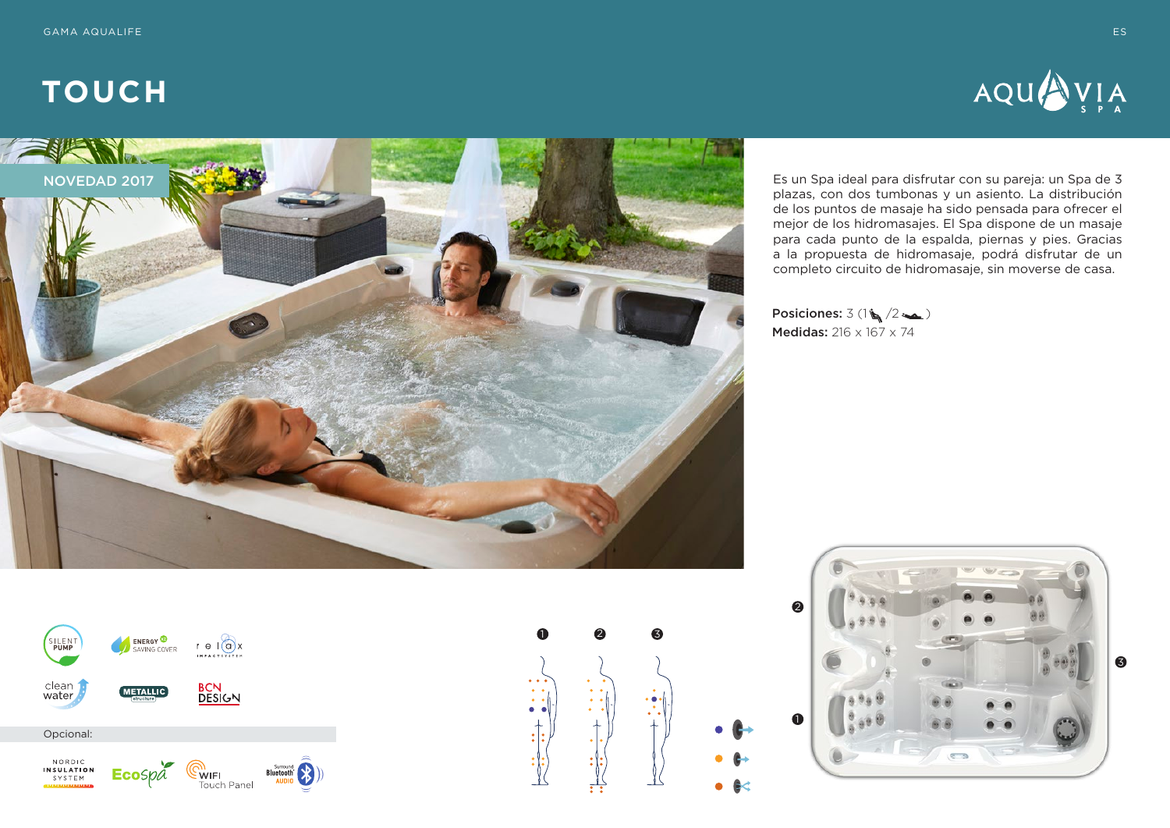



Es un Spa ideal para disfrutar con su pareja: un Spa de 3 plazas, con dos tumbonas y un asiento. La distribución de los puntos de masaje ha sido pensada para ofrecer el mejor de los hidromasajes. El Spa dispone de un masaje para cada punto de la espalda, piernas y pies. Gracias a la propuesta de hidromasaje, podrá disfrutar de un completo circuito de hidromasaje, sin moverse de casa.

Posiciones:  $3(1\sqrt{2\sqrt{2}})$ Medidas: 216 x 167 x 74





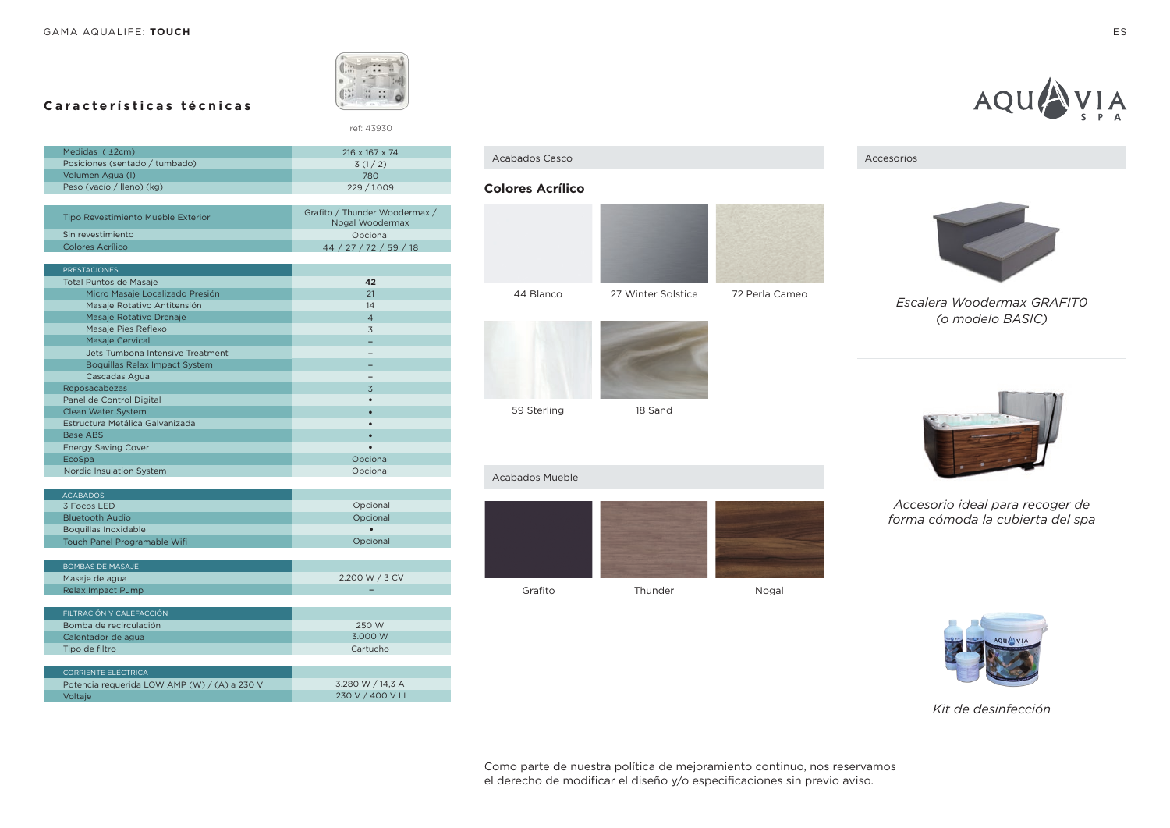

ref: 43930

# **Características técnicas**

| Medidas ( ±2cm)                    | $216 \times 167 \times 74$                       |
|------------------------------------|--------------------------------------------------|
| Posiciones (sentado / tumbado)     | 3(1/2)                                           |
| Volumen Agua (I)                   | 780                                              |
| Peso (vacío / lleno) (kg)          | 229 / 1.009                                      |
|                                    |                                                  |
| Tipo Revestimiento Mueble Exterior | Grafito / Thunder Woodermax /<br>Nogal Woodermax |
| Sin revestimiento                  | Opcional                                         |
| Colores Acrílico                   | 44 / 27 / 72 / 59 / 18                           |

| <b>PRESTACIONES</b>              |                |
|----------------------------------|----------------|
| <b>Total Puntos de Masaje</b>    | 42             |
| Micro Masaje Localizado Presión  | 21             |
| Masaje Rotativo Antitensión      | 14             |
| Masaje Rotativo Drenaje          | $\overline{4}$ |
| Masaje Pies Reflexo              | 3              |
| <b>Masaje Cervical</b>           |                |
| Jets Tumbona Intensive Treatment |                |
| Boquillas Relax Impact System    |                |
| Cascadas Agua                    |                |
| Reposacabezas                    | 3              |
| Panel de Control Digital         |                |
| Clean Water System               |                |
| Estructura Metálica Galvanizada  | ٠              |
| <b>Base ABS</b>                  |                |
| <b>Energy Saving Cover</b>       |                |
| EcoSpa                           | Opcional       |
| Nordic Insulation System         | Opcional       |

| <b>ACABADOS</b>                                                                                                                                                                                                                                                                       |                |
|---------------------------------------------------------------------------------------------------------------------------------------------------------------------------------------------------------------------------------------------------------------------------------------|----------------|
| 3 Focos LED                                                                                                                                                                                                                                                                           | Opcional       |
| <b>Bluetooth Audio</b>                                                                                                                                                                                                                                                                | Opcional       |
| Boquillas Inoxidable                                                                                                                                                                                                                                                                  | ٠              |
| Touch Panel Programable Wifi                                                                                                                                                                                                                                                          | Opcional       |
|                                                                                                                                                                                                                                                                                       |                |
| <b>BOMBAS DE MASAJE</b>                                                                                                                                                                                                                                                               |                |
| Masaje de agua                                                                                                                                                                                                                                                                        | 2.200 W / 3 CV |
| <b>Relax Impact Pump</b>                                                                                                                                                                                                                                                              |                |
|                                                                                                                                                                                                                                                                                       |                |
| FILTRACIÓN Y CALEFACCIÓN                                                                                                                                                                                                                                                              |                |
| Bomba de recirculación                                                                                                                                                                                                                                                                | 250 W          |
| Calentador de agua                                                                                                                                                                                                                                                                    | 3.000 W        |
| Tipo de filtro                                                                                                                                                                                                                                                                        | Cartucho       |
|                                                                                                                                                                                                                                                                                       |                |
| <b>CORRIENTE ELÉCTRICA</b>                                                                                                                                                                                                                                                            |                |
| $D_{1}$ , $L_{2}$ , $L_{3}$ , $L_{4}$ , $L_{5}$ , $L_{6}$ , $L_{7}$ , $L_{8}$ , $L_{1}$ , $L_{1}$ , $L_{1}$ , $L_{1}$ , $L_{1}$ , $L_{1}$ , $L_{1}$ , $L_{1}$ , $L_{2}$ , $L_{3}$ , $L_{1}$ , $L_{2}$ , $L_{3}$ , $L_{1}$ , $L_{2}$ , $L_{3}$ , $L_{1}$ , $L_{2}$ , $L_{3}$ , $L_{4}$ | $7.2001117171$ |

| Potencia requerida LOW AMP (W) / (A) a 230 V | 3.280 W / 14.3 A  |
|----------------------------------------------|-------------------|
| Voltaie                                      | 230 V / 400 V III |

#### **Colores Acrílico**





59 Sterling

### 18 Sand

#### Acabados Mueble



#### Acabados Casco Accesorios



# *Escalera Woodermax GRAFIT0 (o modelo BASIC)*



## *Accesorio ideal para recoger de forma cómoda la cubierta del spa*



#### *Kit de desinfección*

Como parte de nuestra política de mejoramiento continuo, nos reservamos el derecho de modificar el diseño y/o especificaciones sin previo aviso.

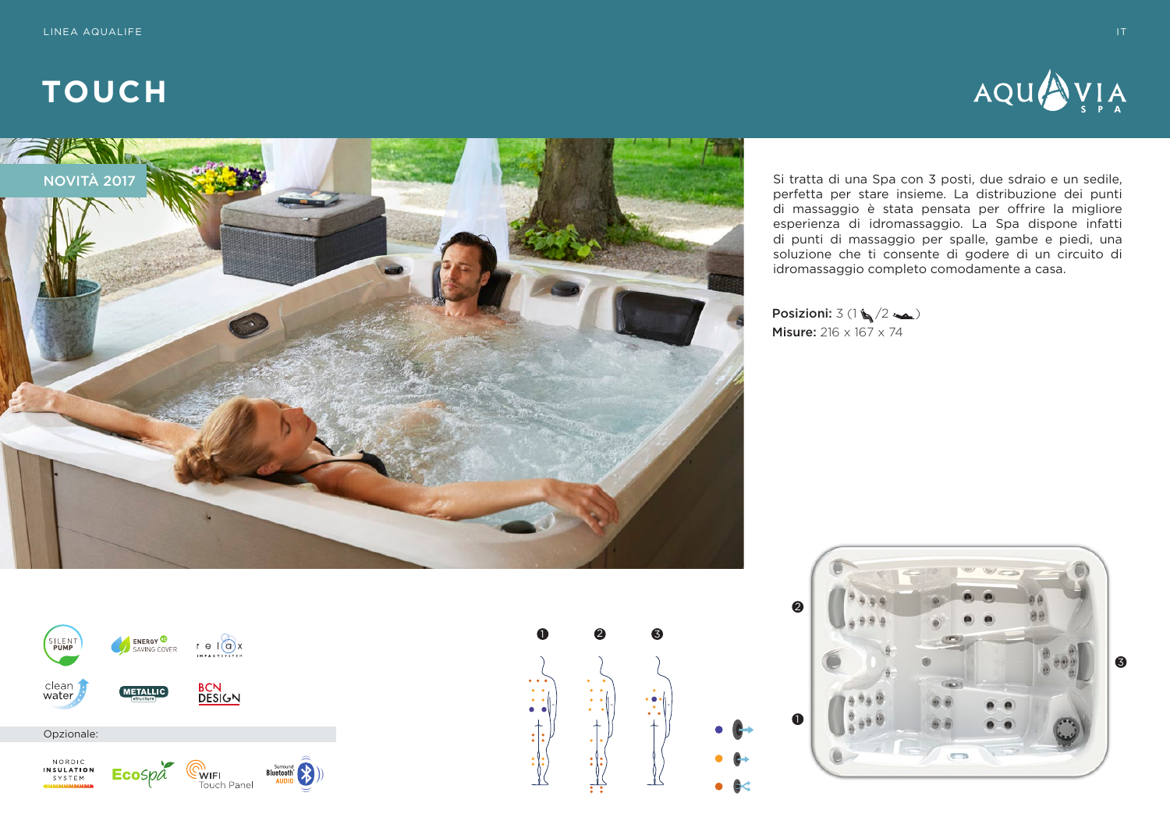



Si tratta di una Spa con 3 posti, due sdraio e un sedile, perfetta per stare insieme. La distribuzione dei punti di massaggio è stata pensata per offrire la migliore esperienza di idromassaggio. La Spa dispone infatti di punti di massaggio per spalle, gambe e piedi, una soluzione che ti consente di godere di un circuito di idromassaggio completo comodamente a casa.

Posizioni:  $3(1 \leq 2 \leq n)$ Misure: 216 x 167 x 74





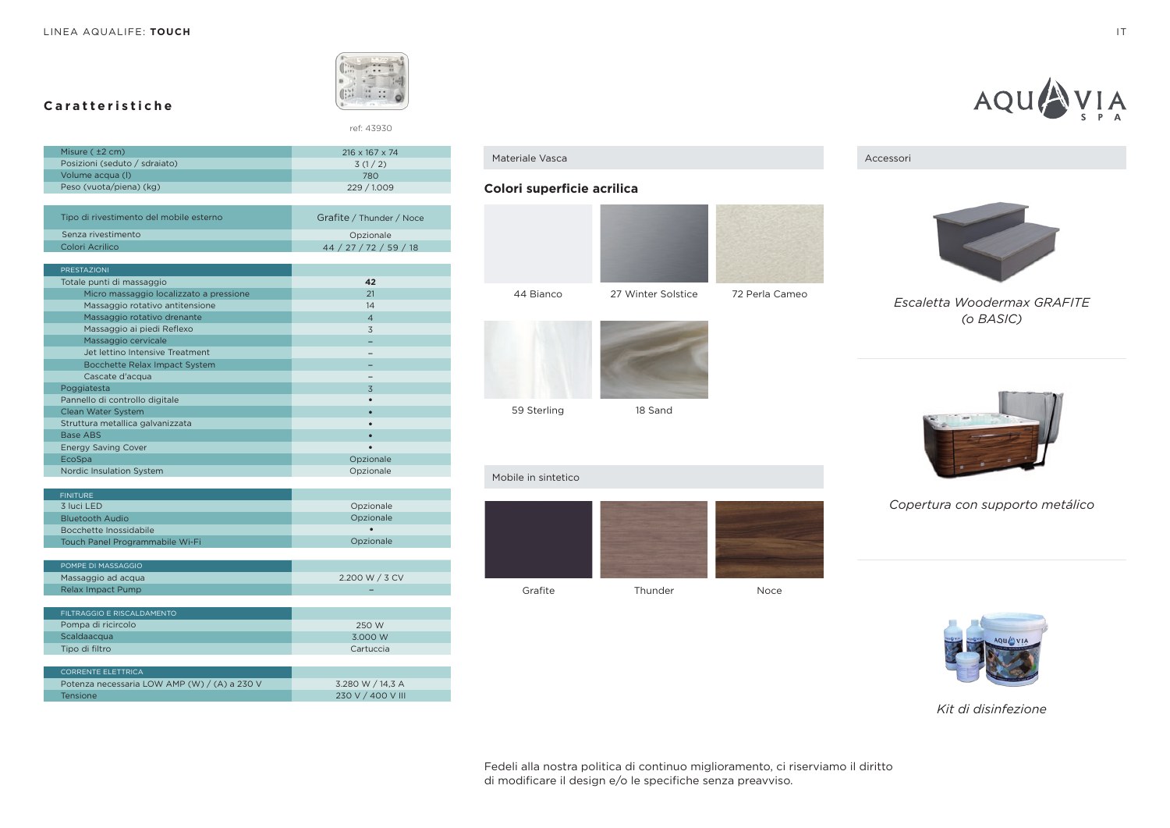**Caratteristiche**

Colori Acrilico



ref: 43930

44 / 27 / 72 / 59 / 18

| Misure $(±2 cm)$                        | $216 \times 167 \times 74$ |
|-----------------------------------------|----------------------------|
| Posizioni (seduto / sdraiato)           | 3(1/2)                     |
| Volume acqua (I)                        | 780                        |
| Peso (vuota/piena) (kg)                 | 229 / 1.009                |
|                                         |                            |
| Tipo di rivestimento del mobile esterno | Grafite / Thunder / Noce   |
| Senza rivestimento                      | Opzionale                  |

| <b>PRESTAZIONI</b>                      |                |
|-----------------------------------------|----------------|
| Totale punti di massaggio               | 42             |
| Micro massaggio localizzato a pressione | 21             |
| Massaggio rotativo antitensione         | 14             |
| Massaggio rotativo drenante             | $\overline{4}$ |
| Massaggio ai piedi Reflexo              | 3              |
| Massaggio cervicale                     |                |
| Jet lettino Intensive Treatment         |                |
| Bocchette Relax Impact System           |                |
| Cascate d'acqua                         |                |
| Poggiatesta                             | 3              |
| Pannello di controllo digitale          |                |
| Clean Water System                      |                |
| Struttura metallica galvanizzata        |                |
| <b>Base ABS</b>                         |                |
| <b>Energy Saving Cover</b>              |                |
| EcoSpa                                  | Opzionale      |
| <b>Nordic Insulation System</b>         | Opzionale      |

| <b>FINITURE</b>                              |                   |
|----------------------------------------------|-------------------|
| 3 luci LED                                   | Opzionale         |
| <b>Bluetooth Audio</b>                       | Opzionale         |
| Bocchette Inossidabile                       | ٠                 |
| Touch Panel Programmabile Wi-Fi              | Opzionale         |
|                                              |                   |
| POMPE DI MASSAGGIO                           |                   |
| Massaggio ad acqua                           | 2.200 W / 3 CV    |
| <b>Relax Impact Pump</b>                     |                   |
|                                              |                   |
| FILTRAGGIO E RISCALDAMENTO                   |                   |
| Pompa di ricircolo                           | 250 W             |
| Scaldaacqua                                  | 3.000 W           |
| Tipo di filtro                               | Cartuccia         |
|                                              |                   |
| <b>CORRENTE ELETTRICA</b>                    |                   |
| Potenza necessaria LOW AMP (W) / (A) a 230 V | 3.280 W / 14,3 A  |
| <b>Tensione</b>                              | 230 V / 400 V III |
|                                              |                   |

### **Colori superficie acrilica**





59 Sterling

18 Sand

#### Mobile in sintetico







AQU

*Escaletta Woodermax GRAFITE (o BASIC)*



*Copertura con supporto metálico*



*Kit di disinfezione*

Fedeli alla nostra politica di continuo miglioramento, ci riserviamo il diritto di modificare il design e/o le specifiche senza preavviso.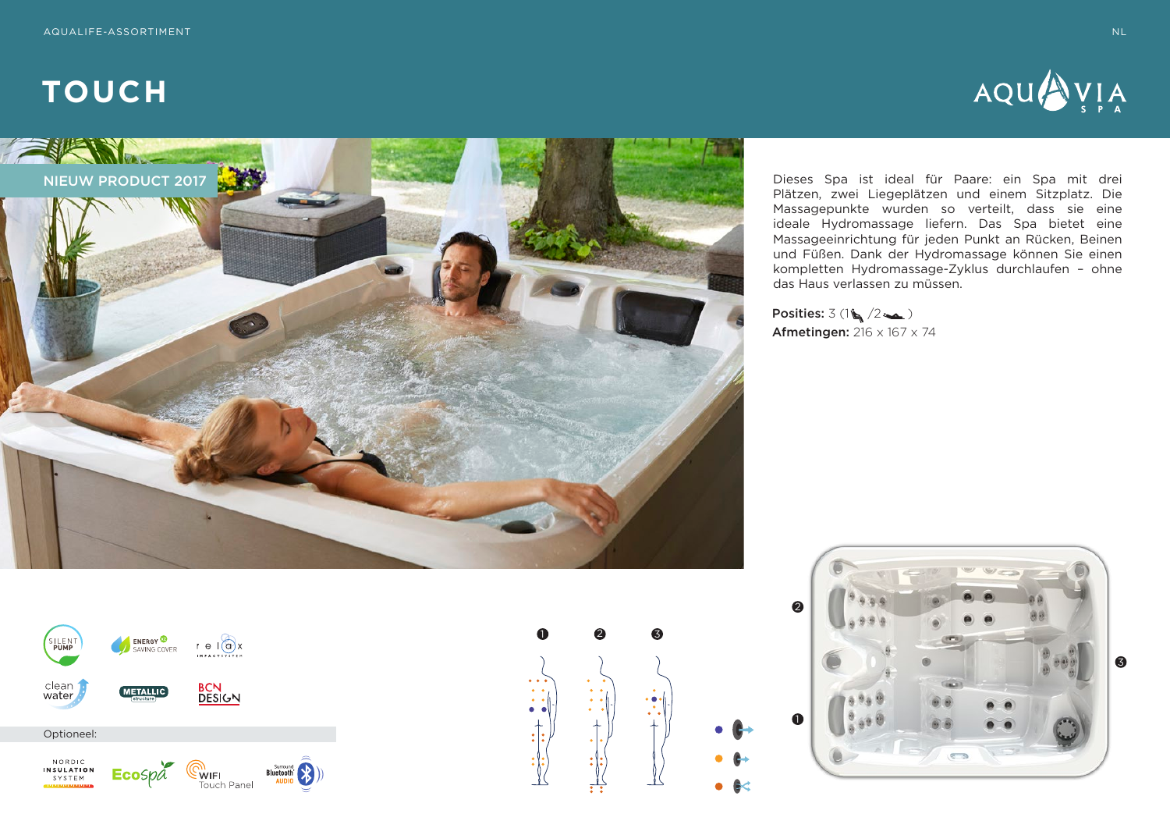



Dieses Spa ist ideal für Paare: ein Spa mit drei Plätzen, zwei Liegeplätzen und einem Sitzplatz. Die Massagepunkte wurden so verteilt, dass sie eine ideale Hydromassage liefern. Das Spa bietet eine Massageeinrichtung für jeden Punkt an Rücken, Beinen und Füßen. Dank der Hydromassage können Sie einen kompletten Hydromassage-Zyklus durchlaufen – ohne das Haus verlassen zu müssen.

Posities:  $3(1\frac{1}{2}\sqrt{2\pi})$ **Afmetingen:**  $216 \times 167 \times 74$